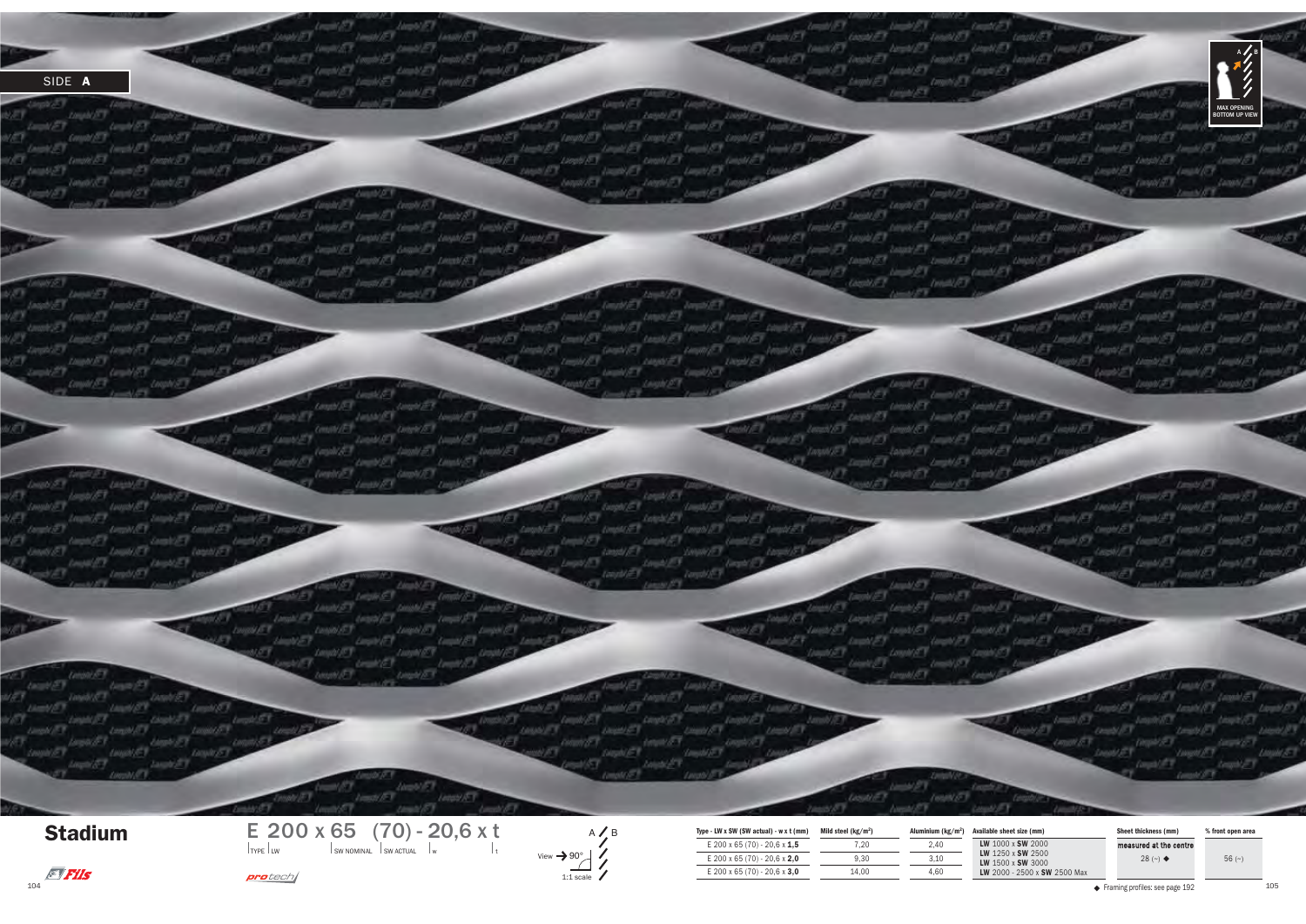

Stadium

 $predech/$ 



| E 200 x 65 (70) - 20,6 x t              |                             | Type - LW x SW (SW actual) - w x t (mm) | Mild steel $(kg/m2)$ |      | Aluminium (kg/m <sup>2</sup> ) Available sheet size (mm)    | <b>Sheet thickness (mm</b> | % front open area |
|-----------------------------------------|-----------------------------|-----------------------------------------|----------------------|------|-------------------------------------------------------------|----------------------------|-------------------|
| TYPE LW<br>I SW NOMINAL I SW ACTUAL I w | $View \rightarrow 90^\circ$ | E 200 x 65 (70) - 20,6 x $1.5$          |                      | 2.40 | LW 1000 x SW 2000<br>LW 1250 x SW 2500<br>LW 1500 x SW 3000 | measured at the centre     |                   |
|                                         |                             | E 200 x 65 (70) - 20,6 x 2,0            | 9.30                 | 3.10 |                                                             | 28 $(-)$ $\triangleleft$   | $56$ ( $\sim$ )   |
| oro tech (                              | $1:1$ scale                 | E 200 x 65 (70) - 20,6 x 3,0            | 14.00                | 4.60 | LW 2000 - 2500 x SW 2500 Max                                |                            |                   |